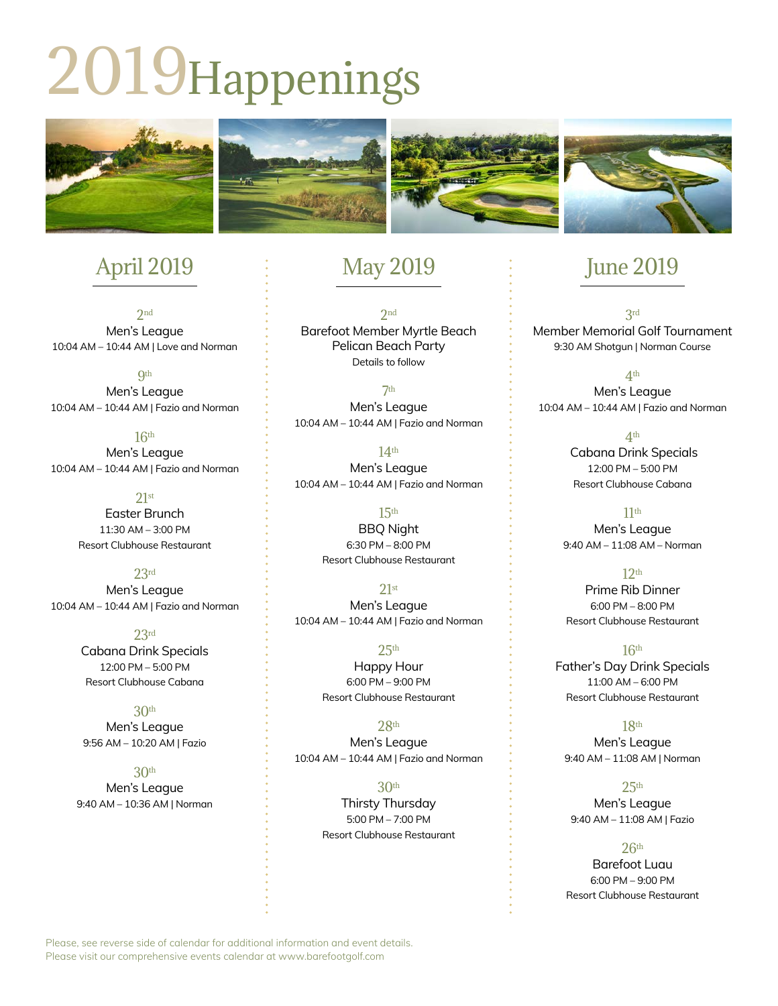# 2019Happenings



# April 2019

2nd Men's League 10:04 AM – 10:44 AM | Love and Norman

**9th** Men's League 10:04 AM – 10:44 AM | Fazio and Norman

16th Men's League 10:04 AM – 10:44 AM | Fazio and Norman

> $21st$ Easter Brunch 11:30 AM – 3:00 PM Resort Clubhouse Restaurant

> > 23rd

Men's League 10:04 AM – 10:44 AM | Fazio and Norman

> 23rd Cabana Drink Specials 12:00 PM – 5:00 PM Resort Clubhouse Cabana

30th Men's League 9:56 AM – 10:20 AM | Fazio

30th

Men's League 9:40 AM – 10:36 AM | Norman

# May 2019

2nd Barefoot Member Myrtle Beach Pelican Beach Party Details to follow

7th Men's League 10:04 AM – 10:44 AM | Fazio and Norman

14th Men's League 10:04 AM – 10:44 AM | Fazio and Norman

> 15th BBQ Night 6:30 PM – 8:00 PM Resort Clubhouse Restaurant

21st Men's League 10:04 AM – 10:44 AM | Fazio and Norman

> $25<sup>th</sup>$ Happy Hour 6:00 PM – 9:00 PM Resort Clubhouse Restaurant

28th Men's League 10:04 AM – 10:44 AM | Fazio and Norman

> 30th Thirsty Thursday 5:00 PM – 7:00 PM Resort Clubhouse Restaurant

## June 2019

3rd Member Memorial Golf Tournament 9:30 AM Shotgun | Norman Course

4th Men's League 10:04 AM – 10:44 AM | Fazio and Norman

> 4th Cabana Drink Specials 12:00 PM – 5:00 PM Resort Clubhouse Cabana

 $11<sup>th</sup>$ Men's League 9:40 AM – 11:08 AM – Norman

12th Prime Rib Dinner 6:00 PM – 8:00 PM Resort Clubhouse Restaurant

16th Father's Day Drink Specials 11:00 AM – 6:00 PM Resort Clubhouse Restaurant

18th Men's League 9:40 AM – 11:08 AM | Norman

 $25<sup>th</sup>$ Men's League 9:40 AM – 11:08 AM | Fazio

#### $26<sup>th</sup>$

Barefoot Luau 6:00 PM – 9:00 PM Resort Clubhouse Restaurant

Please, see reverse side of calendar for additional information and event details. Please visit our comprehensive events calendar at www.barefootgolf.com